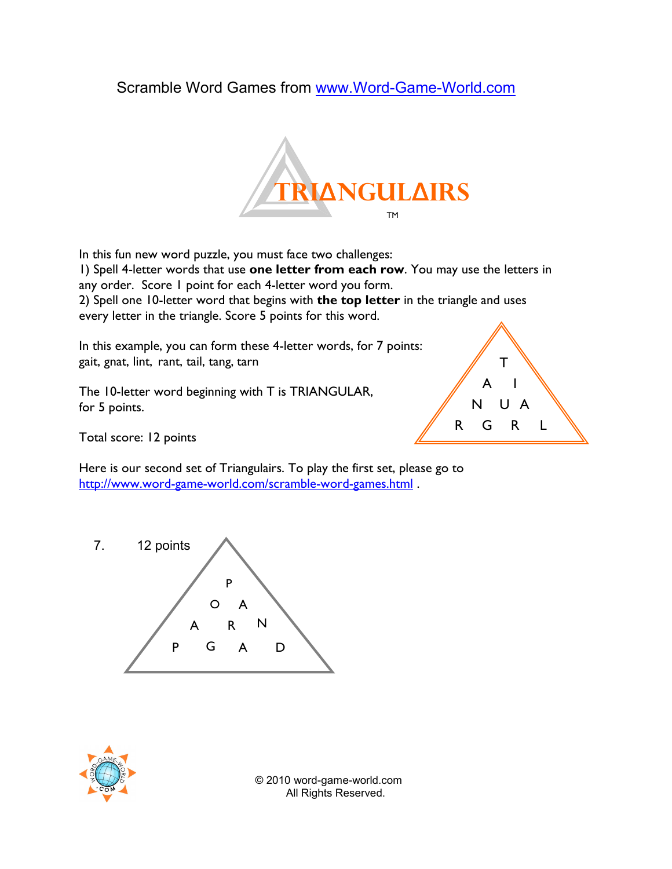## Scramble Word Games from www.Word-Game-World.com



In this fun new word puzzle, you must face two challenges: 1) Spell 4-letter words that use one letter from each row. You may use the letters in any order. Score 1 point for each 4-letter word you form. 2) Spell one 10-letter word that begins with the top letter in the triangle and uses every letter in the triangle. Score 5 points for this word.

In this example, you can form these 4-letter words, for 7 points: gait, gnat, lint, rant, tail, tang, tarn

The 10-letter word beginning with T is TRIANGULAR, for 5 points.



Total score: 12 points

Here is our second set of Triangulairs. To play the first set, please go to http://www.word-game-world.com/scramble-word-games.html .





 © 2010 word-game-world.com All Rights Reserved.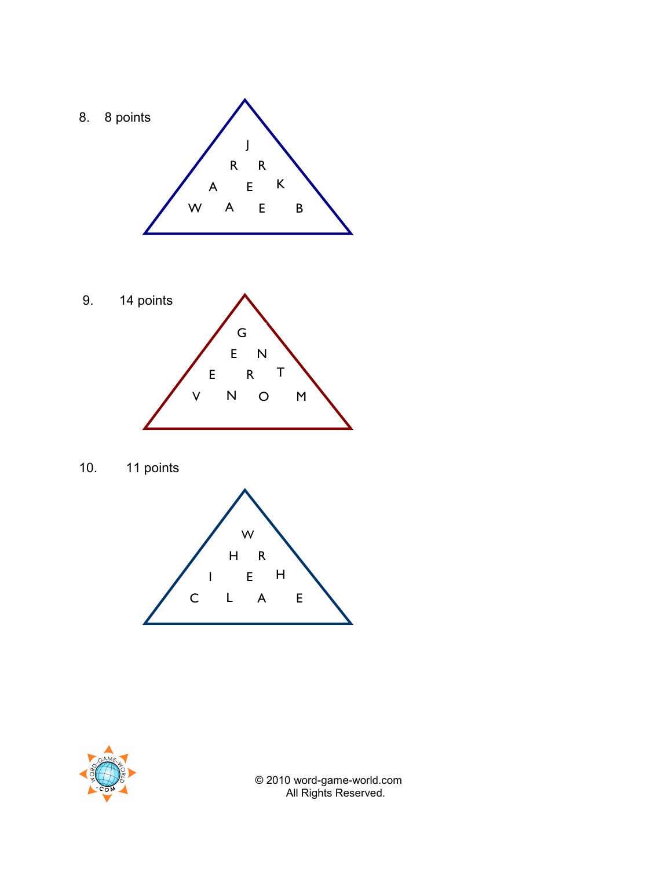









 © 2010 word-game-world.com All Rights Reserved.